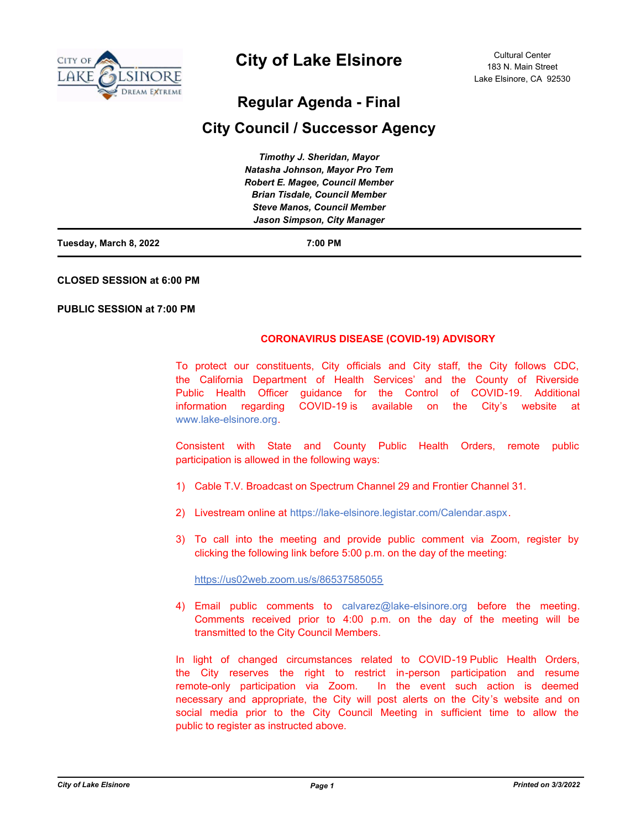

# **City of Lake Elsinore**

# **Regular Agenda - Final**

# **City Council / Successor Agency**

|                        | Timothy J. Sheridan, Mayor             |  |
|------------------------|----------------------------------------|--|
|                        | Natasha Johnson, Mayor Pro Tem         |  |
|                        | <b>Robert E. Magee, Council Member</b> |  |
|                        | <b>Brian Tisdale, Council Member</b>   |  |
|                        | <b>Steve Manos, Council Member</b>     |  |
|                        | Jason Simpson, City Manager            |  |
| Tuesday, March 8, 2022 | 7:00 PM                                |  |

# **CLOSED SESSION at 6:00 PM**

# **PUBLIC SESSION at 7:00 PM**

# **CORONAVIRUS DISEASE (COVID-19) ADVISORY**

To protect our constituents, City officials and City staff, the City follows CDC, the California Department of Health Services' and the County of Riverside Public Health Officer guidance for the Control of COVID-19. Additional information regarding COVID-19 is available on the City's website at www.lake-elsinore.org.

Consistent with State and County Public Health Orders, remote public participation is allowed in the following ways:

- 1) Cable T.V. Broadcast on Spectrum Channel 29 and Frontier Channel 31.
- 2) Livestream online at https://lake-elsinore.legistar.com/Calendar.aspx.
- 3) To call into the meeting and provide public comment via Zoom, register by clicking the following link before 5:00 p.m. on the day of the meeting:

https://us02web.zoom.us/s/86537585055

4) Email public comments to calvarez@lake-elsinore.org before the meeting. Comments received prior to 4:00 p.m. on the day of the meeting will be transmitted to the City Council Members.

In light of changed circumstances related to COVID-19 Public Health Orders, the City reserves the right to restrict in-person participation and resume remote-only participation via Zoom. In the event such action is deemed necessary and appropriate, the City will post alerts on the City's website and on social media prior to the City Council Meeting in sufficient time to allow the public to register as instructed above.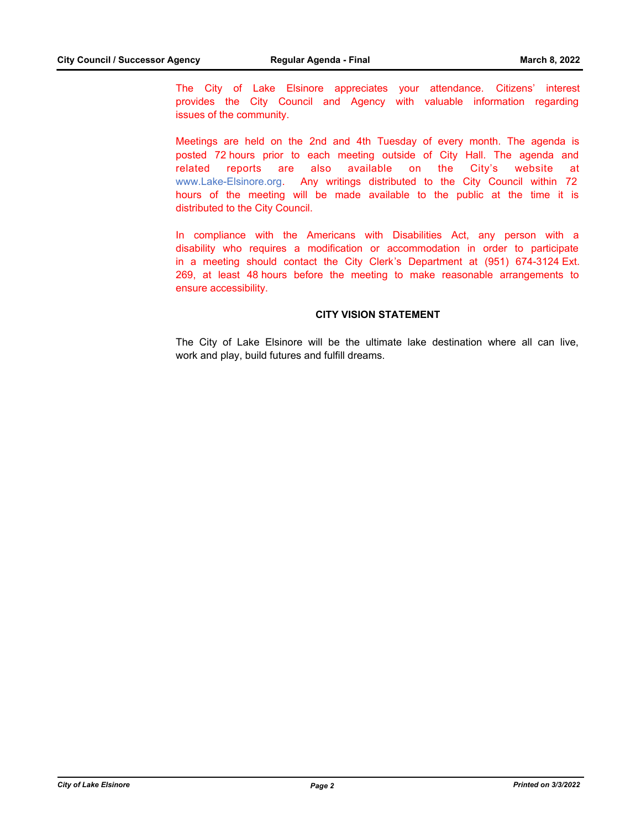The City of Lake Elsinore appreciates your attendance. Citizens' interest provides the City Council and Agency with valuable information regarding issues of the community.

Meetings are held on the 2nd and 4th Tuesday of every month. The agenda is posted 72 hours prior to each meeting outside of City Hall. The agenda and related reports are also available on the City's website at www.Lake-Elsinore.org. Any writings distributed to the City Council within 72 hours of the meeting will be made available to the public at the time it is distributed to the City Council.

In compliance with the Americans with Disabilities Act, any person with a disability who requires a modification or accommodation in order to participate in a meeting should contact the City Clerk's Department at (951) 674-3124 Ext. 269, at least 48 hours before the meeting to make reasonable arrangements to ensure accessibility.

#### **CITY VISION STATEMENT**

The City of Lake Elsinore will be the ultimate lake destination where all can live, work and play, build futures and fulfill dreams.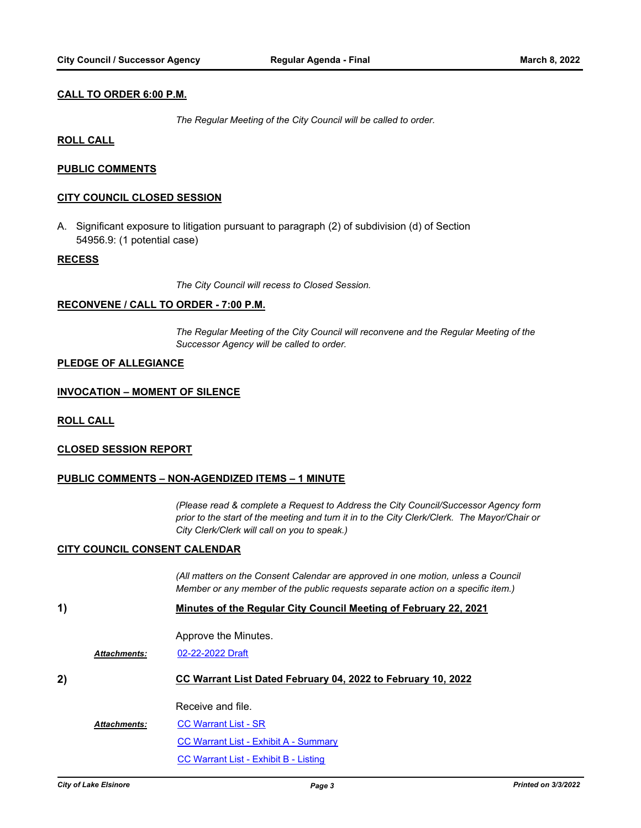## **CALL TO ORDER 6:00 P.M.**

*The Regular Meeting of the City Council will be called to order.*

### **ROLL CALL**

# **PUBLIC COMMENTS**

### **CITY COUNCIL CLOSED SESSION**

A. Significant exposure to litigation pursuant to paragraph (2) of subdivision (d) of Section 54956.9: (1 potential case)

#### **RECESS**

*The City Council will recess to Closed Session.*

# **RECONVENE / CALL TO ORDER - 7:00 P.M.**

*The Regular Meeting of the City Council will reconvene and the Regular Meeting of the Successor Agency will be called to order.*

#### **PLEDGE OF ALLEGIANCE**

#### **INVOCATION – MOMENT OF SILENCE**

**ROLL CALL**

#### **CLOSED SESSION REPORT**

#### **PUBLIC COMMENTS – NON-AGENDIZED ITEMS – 1 MINUTE**

*(Please read & complete a Request to Address the City Council/Successor Agency form prior to the start of the meeting and turn it in to the City Clerk/Clerk. The Mayor/Chair or City Clerk/Clerk will call on you to speak.)*

#### **CITY COUNCIL CONSENT CALENDAR**

*(All matters on the Consent Calendar are approved in one motion, unless a Council Member or any member of the public requests separate action on a specific item.)*

**1) Minutes of the Regular City Council Meeting of February 22, 2021**

Approve the Minutes.

*Attachments:* [02-22-2022 Draft](http://lake-elsinore.legistar.com/gateway.aspx?M=F&ID=86f52afc-3c7b-45e6-b7c5-7f86f698aaca.pdf)

**2) CC Warrant List Dated February 04, 2022 to February 10, 2022**

Receive and file.

[CC Warrant List - SR](http://lake-elsinore.legistar.com/gateway.aspx?M=F&ID=7b73ed7c-0254-4fd1-bb87-e817a24fdfad.docx) *Attachments:*

[CC Warrant List - Exhibit A - Summary](http://lake-elsinore.legistar.com/gateway.aspx?M=F&ID=0d9f6bee-b192-4f2b-bd5f-0017ff123602.pdf)

[CC Warrant List - Exhibit B - Listing](http://lake-elsinore.legistar.com/gateway.aspx?M=F&ID=21290949-afc9-4cbe-ab36-ad3e9659eccc.pdf)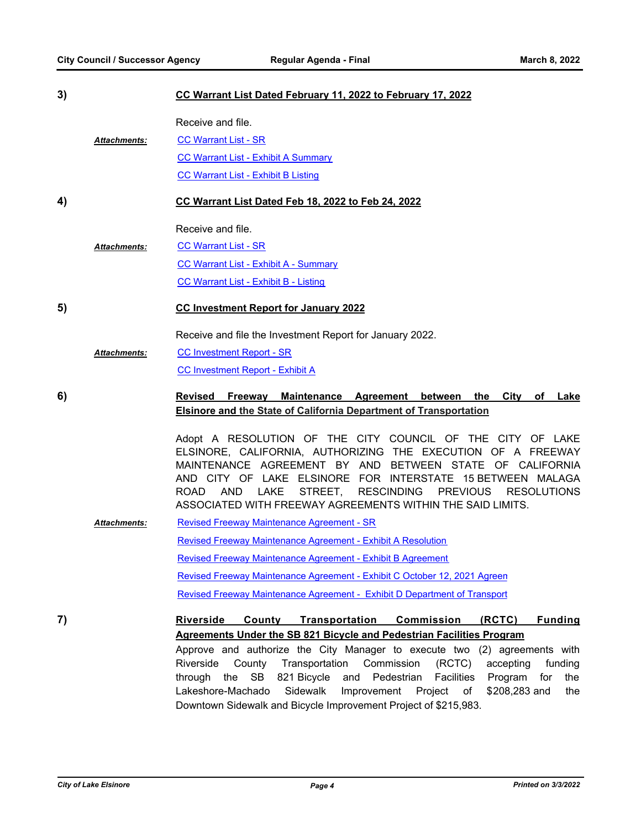| 3)                  | CC Warrant List Dated February 11, 2022 to February 17, 2022                                                                                                                                                                                                                                                                                                                                                                                                                                                                                                                        |
|---------------------|-------------------------------------------------------------------------------------------------------------------------------------------------------------------------------------------------------------------------------------------------------------------------------------------------------------------------------------------------------------------------------------------------------------------------------------------------------------------------------------------------------------------------------------------------------------------------------------|
| <b>Attachments:</b> | Receive and file.<br><b>CC Warrant List - SR</b><br><b>CC Warrant List - Exhibit A Summary</b><br><b>CC Warrant List - Exhibit B Listing</b>                                                                                                                                                                                                                                                                                                                                                                                                                                        |
| 4)                  | CC Warrant List Dated Feb 18, 2022 to Feb 24, 2022                                                                                                                                                                                                                                                                                                                                                                                                                                                                                                                                  |
| <b>Attachments:</b> | Receive and file.<br><b>CC Warrant List - SR</b><br><b>CC Warrant List - Exhibit A - Summary</b><br><b>CC Warrant List - Exhibit B - Listing</b>                                                                                                                                                                                                                                                                                                                                                                                                                                    |
| 5)                  | <b>CC Investment Report for January 2022</b>                                                                                                                                                                                                                                                                                                                                                                                                                                                                                                                                        |
| <b>Attachments:</b> | Receive and file the Investment Report for January 2022.<br><b>CC Investment Report - SR</b><br><b>CC Investment Report - Exhibit A</b>                                                                                                                                                                                                                                                                                                                                                                                                                                             |
| 6)                  | Freeway<br><b>Maintenance</b><br>Revised<br>Agreement<br>between<br>the City of Lake                                                                                                                                                                                                                                                                                                                                                                                                                                                                                                |
|                     | <b>Elsinore and the State of California Department of Transportation</b><br>Adopt A RESOLUTION OF THE CITY COUNCIL OF THE CITY OF LAKE<br>ELSINORE, CALIFORNIA, AUTHORIZING THE EXECUTION OF A FREEWAY<br>MAINTENANCE AGREEMENT BY AND BETWEEN STATE OF CALIFORNIA<br>AND CITY OF LAKE ELSINORE FOR INTERSTATE 15 BETWEEN MALAGA<br>STREET,<br>RESCINDING PREVIOUS<br><b>ROAD</b><br>AND LAKE<br><b>RESOLUTIONS</b><br>ASSOCIATED WITH FREEWAY AGREEMENTS WITHIN THE SAID LIMITS.                                                                                                   |
| <b>Attachments:</b> | <b>Revised Freeway Maintenance Agreement - SR</b>                                                                                                                                                                                                                                                                                                                                                                                                                                                                                                                                   |
|                     | Revised Freeway Maintenance Agreement - Exhibit A Resolution<br>Revised Freeway Maintenance Agreement - Exhibit B Agreement<br>Revised Freeway Maintenance Agreement - Exhibit C October 12, 2021 Agreen                                                                                                                                                                                                                                                                                                                                                                            |
|                     | Revised Freeway Maintenance Agreement - Exhibit D Department of Transport                                                                                                                                                                                                                                                                                                                                                                                                                                                                                                           |
| 7)                  | Transportation<br>Commission<br>(RCTC)<br><b>Riverside</b><br>County<br><b>Funding</b><br><b>Agreements Under the SB 821 Bicycle and Pedestrian Facilities Program</b><br>Approve and authorize the City Manager to execute two (2) agreements with<br>Transportation Commission<br>Riverside<br>County<br>(RCTC)<br>accepting<br>funding<br>through the SB 821 Bicycle and Pedestrian<br>Facilities<br>Program<br>for<br>the<br>Lakeshore-Machado<br>Sidewalk<br>Improvement Project of<br>\$208,283 and<br>the<br>Downtown Sidewalk and Bicycle Improvement Project of \$215,983. |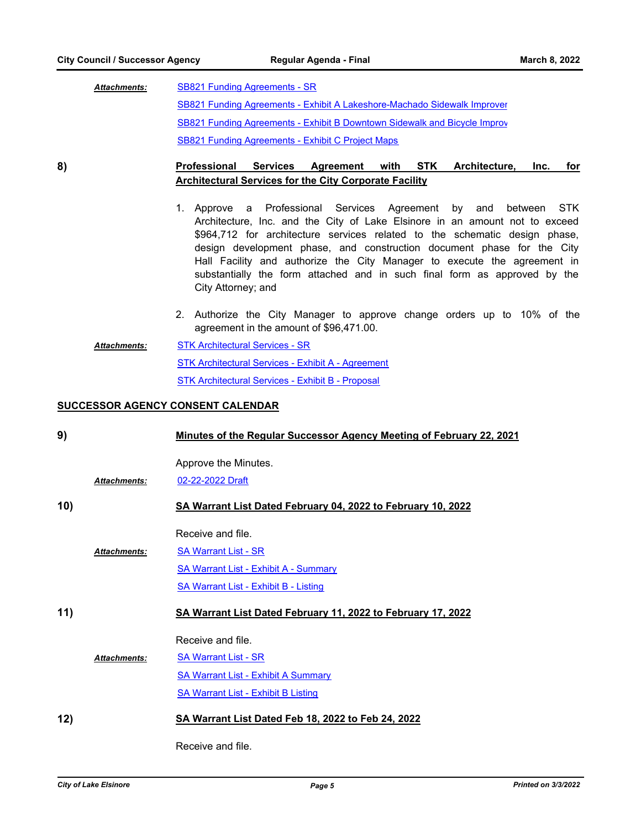[SB821 Funding Agreements - SR](http://lake-elsinore.legistar.com/gateway.aspx?M=F&ID=795f8edb-c3ed-44e4-93da-997f3a1db8ab.doc) SB821 Funding Agreements - Exhibit A Lakeshore-Machado Sidewalk Improver [SB821 Funding Agreements - Exhibit B Downtown Sidewalk and Bicycle Improv](http://lake-elsinore.legistar.com/gateway.aspx?M=F&ID=d73bc8cc-e67b-4e11-9a62-b0d3d39c730b.pdf) [SB821 Funding Agreements - Exhibit C Project Maps](http://lake-elsinore.legistar.com/gateway.aspx?M=F&ID=b21a2ef7-1548-4a58-899b-0c6ae4729279.pdf) *Attachments:*

# **8) Professional Services Agreement with STK Architecture, Inc. for Architectural Services for the City Corporate Facility**

- 1. Approve a Professional Services Agreement by and between STK Architecture, Inc. and the City of Lake Elsinore in an amount not to exceed \$964,712 for architecture services related to the schematic design phase, design development phase, and construction document phase for the City Hall Facility and authorize the City Manager to execute the agreement in substantially the form attached and in such final form as approved by the City Attorney; and
- 2. Authorize the City Manager to approve change orders up to 10% of the agreement in the amount of \$96,471.00.
- [STK Architectural Services SR](http://lake-elsinore.legistar.com/gateway.aspx?M=F&ID=ac093f28-5a57-44ff-83f6-8b33da5df831.docx) [STK Architectural Services - Exhibit A - Agreement](http://lake-elsinore.legistar.com/gateway.aspx?M=F&ID=77a5648f-e704-482b-9e87-2182492d9167.docx) [STK Architectural Services - Exhibit B - Proposal](http://lake-elsinore.legistar.com/gateway.aspx?M=F&ID=a7c32209-d58c-42da-bd41-edb8f5f87a06.pdf) *Attachments:*

# **SUCCESSOR AGENCY CONSENT CALENDAR**

| 9)  |                     | <b>Minutes of the Regular Successor Agency Meeting of February 22, 2021</b> |
|-----|---------------------|-----------------------------------------------------------------------------|
|     | Attachments:        | Approve the Minutes.<br>02-22-2022 Draft                                    |
| 10) |                     | SA Warrant List Dated February 04, 2022 to February 10, 2022                |
|     |                     | Receive and file.                                                           |
|     | <b>Attachments:</b> | <b>SA Warrant List - SR</b>                                                 |
|     |                     | <b>SA Warrant List - Exhibit A - Summary</b>                                |
|     |                     | <b>SA Warrant List - Exhibit B - Listing</b>                                |
| 11) |                     | SA Warrant List Dated February 11, 2022 to February 17, 2022                |
|     |                     | Receive and file.                                                           |
|     | <b>Attachments:</b> | <b>SA Warrant List - SR</b>                                                 |
|     |                     | <b>SA Warrant List - Exhibit A Summary</b>                                  |
|     |                     | <b>SA Warrant List - Exhibit B Listing</b>                                  |
| 12) |                     | SA Warrant List Dated Feb 18, 2022 to Feb 24, 2022                          |

Receive and file.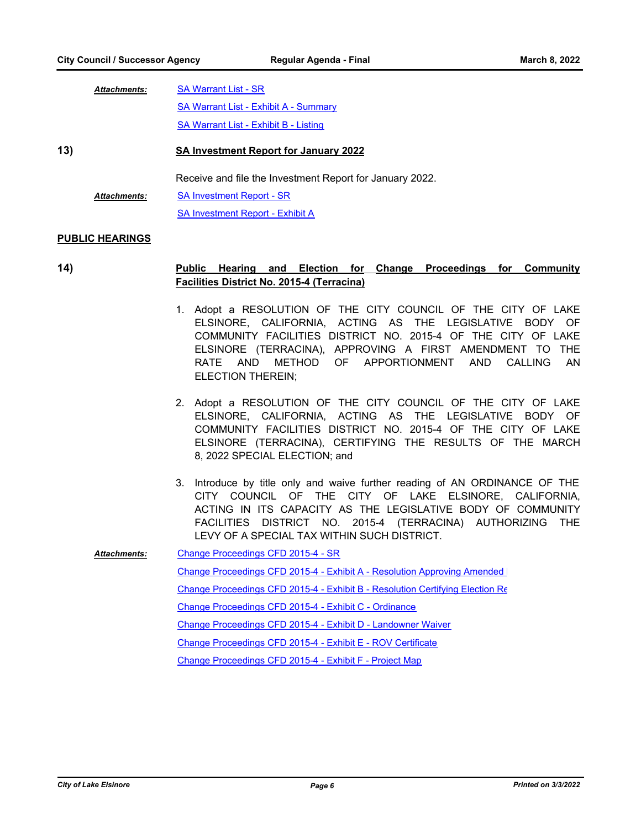|     | <b>Attachments:</b> | <b>SA Warrant List - SR</b>                              |  |
|-----|---------------------|----------------------------------------------------------|--|
|     |                     | <b>SA Warrant List - Exhibit A - Summary</b>             |  |
|     |                     | SA Warrant List - Exhibit B - Listing                    |  |
| 13) |                     | <b>SA Investment Report for January 2022</b>             |  |
|     |                     | Receive and file the Investment Report for January 2022. |  |
|     | <b>Attachments:</b> | <b>SA Investment Report - SR</b>                         |  |
|     |                     | SA Investment Report - Exhibit A                         |  |

# **PUBLIC HEARINGS**

# **14) Public Hearing and Election for Change Proceedings for Community Facilities District No. 2015-4 (Terracina)**

- 1. Adopt a RESOLUTION OF THE CITY COUNCIL OF THE CITY OF LAKE ELSINORE, CALIFORNIA, ACTING AS THE LEGISLATIVE BODY OF COMMUNITY FACILITIES DISTRICT NO. 2015-4 OF THE CITY OF LAKE ELSINORE (TERRACINA), APPROVING A FIRST AMENDMENT TO THE RATE AND METHOD OF APPORTIONMENT AND CALLING AN ELECTION THEREIN;
- 2. Adopt a RESOLUTION OF THE CITY COUNCIL OF THE CITY OF LAKE ELSINORE, CALIFORNIA, ACTING AS THE LEGISLATIVE BODY OF COMMUNITY FACILITIES DISTRICT NO. 2015-4 OF THE CITY OF LAKE ELSINORE (TERRACINA), CERTIFYING THE RESULTS OF THE MARCH 8, 2022 SPECIAL ELECTION; and
- 3. Introduce by title only and waive further reading of AN ORDINANCE OF THE CITY COUNCIL OF THE CITY OF LAKE ELSINORE, CALIFORNIA, ACTING IN ITS CAPACITY AS THE LEGISLATIVE BODY OF COMMUNITY FACILITIES DISTRICT NO. 2015-4 (TERRACINA) AUTHORIZING THE LEVY OF A SPECIAL TAX WITHIN SUCH DISTRICT.
- [Change Proceedings CFD 2015-4 SR](http://lake-elsinore.legistar.com/gateway.aspx?M=F&ID=c1753a49-8258-4ed0-88ef-53553f98a70a.doc) Change Proceedings CFD 2015-4 - Exhibit A - Resolution Approving Amended [Change Proceedings CFD 2015-4 - Exhibit B - Resolution Certifying Election Re](http://lake-elsinore.legistar.com/gateway.aspx?M=F&ID=1dd3e205-b36f-42ad-8e80-82e9e439ec6b.docx) [Change Proceedings CFD 2015-4 - Exhibit C - Ordinance](http://lake-elsinore.legistar.com/gateway.aspx?M=F&ID=4822cb5a-e380-499f-a5a2-7e8571e6e4d4.docx) [Change Proceedings CFD 2015-4 - Exhibit D - Landowner Waiver](http://lake-elsinore.legistar.com/gateway.aspx?M=F&ID=5720e823-3231-41e4-b4c7-a1ee9ff1e346.doc) [Change Proceedings CFD 2015-4 - Exhibit E - ROV Certificate](http://lake-elsinore.legistar.com/gateway.aspx?M=F&ID=57cd013e-ee86-4efb-88a8-7ada50d7dacb.pdf) [Change Proceedings CFD 2015-4 - Exhibit F - Project Map](http://lake-elsinore.legistar.com/gateway.aspx?M=F&ID=6a3f6890-56c2-4a85-8888-0bbb141f05af.pdf) *Attachments:*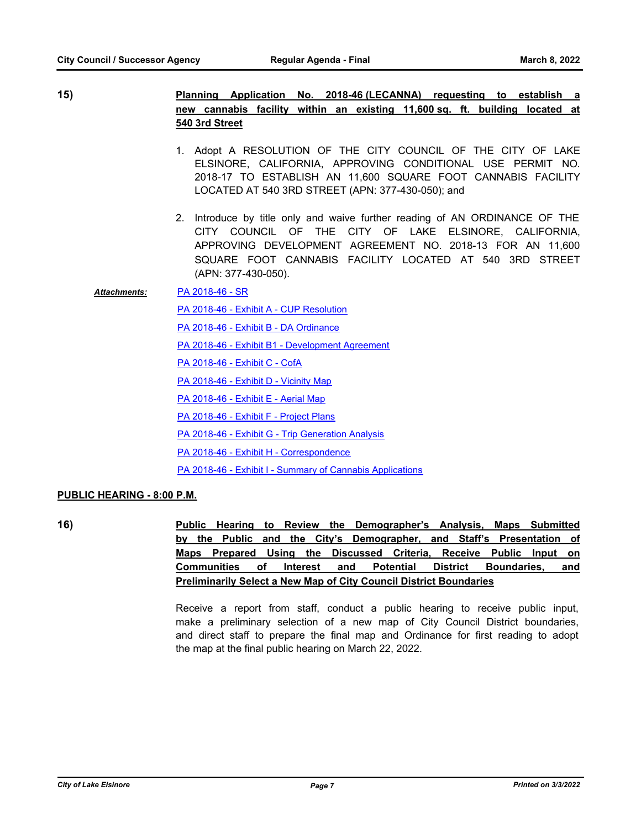**15) Planning Application No. 2018-46 (LECANNA) requesting to establish a new cannabis facility within an existing 11,600 sq. ft. building located at 540 3rd Street**

- 1. Adopt A RESOLUTION OF THE CITY COUNCIL OF THE CITY OF LAKE ELSINORE, CALIFORNIA, APPROVING CONDITIONAL USE PERMIT NO. 2018-17 TO ESTABLISH AN 11,600 SQUARE FOOT CANNABIS FACILITY LOCATED AT 540 3RD STREET (APN: 377-430-050); and
- 2. Introduce by title only and waive further reading of AN ORDINANCE OF THE CITY COUNCIL OF THE CITY OF LAKE ELSINORE, CALIFORNIA, APPROVING DEVELOPMENT AGREEMENT NO. 2018-13 FOR AN 11,600 SQUARE FOOT CANNABIS FACILITY LOCATED AT 540 3RD STREET (APN: 377-430-050).

[PA 2018-46 - SR](http://lake-elsinore.legistar.com/gateway.aspx?M=F&ID=70c8086d-9669-41bc-820a-b43d83ff75f2.docx) *Attachments:*

[PA 2018-46 - Exhibit A - CUP Resolution](http://lake-elsinore.legistar.com/gateway.aspx?M=F&ID=64c1e6f7-7e13-4541-850e-991a07911149.docx)

[PA 2018-46 - Exhibit B - DA Ordinance](http://lake-elsinore.legistar.com/gateway.aspx?M=F&ID=35d315ca-5f8e-4a1c-8051-7ad5856f57d3.docx)

- [PA 2018-46 Exhibit B1 Development Agreement](http://lake-elsinore.legistar.com/gateway.aspx?M=F&ID=25fbb18f-0a02-44f0-bd81-8513a401456a.docx)
- [PA 2018-46 Exhibit C CofA](http://lake-elsinore.legistar.com/gateway.aspx?M=F&ID=27abb181-a4c8-4f9c-a000-99a7672d5b76.docx)
- [PA 2018-46 Exhibit D Vicinity Map](http://lake-elsinore.legistar.com/gateway.aspx?M=F&ID=24809658-28b0-43e4-a209-e65b5dd1ab1a.pdf)
- [PA 2018-46 Exhibit E Aerial Map](http://lake-elsinore.legistar.com/gateway.aspx?M=F&ID=9e268eb3-c05a-431b-ac8f-f5084be0619b.pdf)
- [PA 2018-46 Exhibit F Project Plans](http://lake-elsinore.legistar.com/gateway.aspx?M=F&ID=99b490db-924d-4ac9-acbb-79e12b4e754b.pdf)
- [PA 2018-46 Exhibit G Trip Generation Analysis](http://lake-elsinore.legistar.com/gateway.aspx?M=F&ID=9dca4788-fe0e-4925-aacd-26776677f3cb.pdf)
- [PA 2018-46 Exhibit H Correspondence](http://lake-elsinore.legistar.com/gateway.aspx?M=F&ID=e975599f-731a-4d32-a908-c5a682d84980.pdf)
- [PA 2018-46 Exhibit I Summary of Cannabis Applications](http://lake-elsinore.legistar.com/gateway.aspx?M=F&ID=d44c4fe2-3f5f-4636-852d-90615c862437.pdf)

# **PUBLIC HEARING - 8:00 P.M.**

**16) Public Hearing to Review the Demographer's Analysis, Maps Submitted by the Public and the City's Demographer, and Staff's Presentation of Maps Prepared Using the Discussed Criteria, Receive Public Input on Communities of Interest and Potential District Boundaries, and Preliminarily Select a New Map of City Council District Boundaries**

> Receive a report from staff, conduct a public hearing to receive public input, make a preliminary selection of a new map of City Council District boundaries, and direct staff to prepare the final map and Ordinance for first reading to adopt the map at the final public hearing on March 22, 2022.